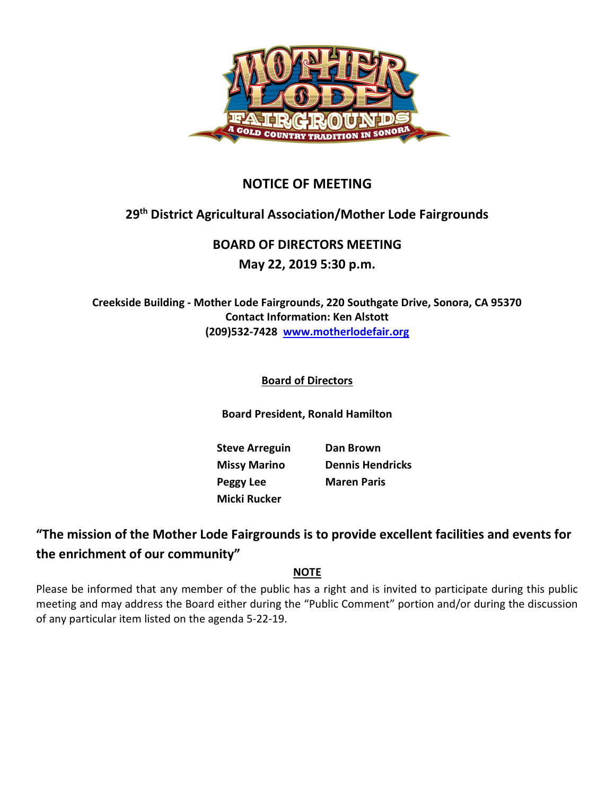

## NOTICE OF MEETING

# 29th District Agricultural Association/Mother Lode Fairgrounds

# BOARD OF DIRECTORS MEETING

### May 22, 2019 5:30 p.m.

Creekside Building - Mother Lode Fairgrounds, 220 Southgate Drive, Sonora, CA 95370 Contact Information: Ken Alstott (209)532-7428 www.motherlodefair.org

### Board of Directors

Board President, Ronald Hamilton

Steve Arreguin Dan Brown Peggy Lee Maren Paris Micki Rucker

Missy Marino Dennis Hendricks

## "The mission of the Mother Lode Fairgrounds is to provide excellent facilities and events for the enrichment of our community"

#### NOTE

Please be informed that any member of the public has a right and is invited to participate during this public meeting and may address the Board either during the "Public Comment" portion and/or during the discussion of any particular item listed on the agenda 5-22-19.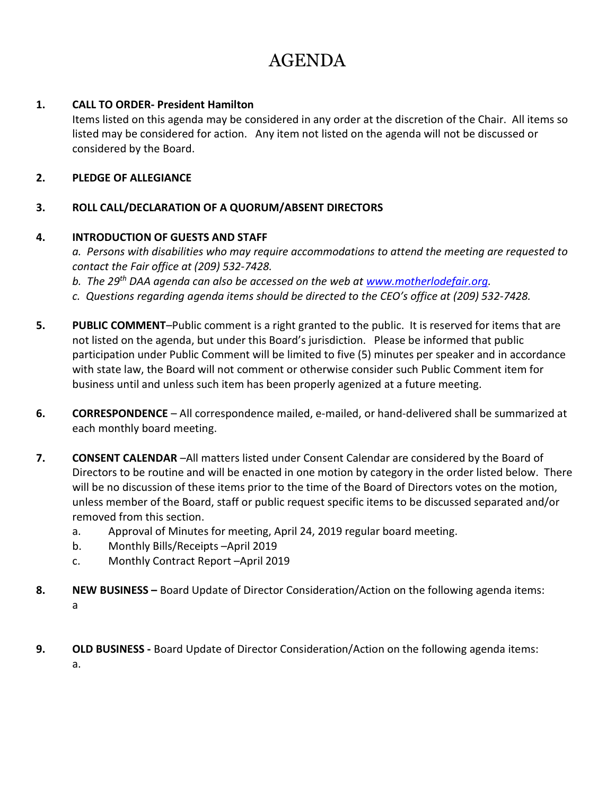# AGENDA

#### 1. CALL TO ORDER- President Hamilton

Items listed on this agenda may be considered in any order at the discretion of the Chair. All items so listed may be considered for action. Any item not listed on the agenda will not be discussed or considered by the Board.

#### 2. PLEDGE OF ALLEGIANCE

#### 3. ROLL CALL/DECLARATION OF A QUORUM/ABSENT DIRECTORS

#### 4. INTRODUCTION OF GUESTS AND STAFF

a. Persons with disabilities who may require accommodations to attend the meeting are requested to contact the Fair office at (209) 532-7428.

b. The 29<sup>th</sup> DAA agenda can also be accessed on the web at www.motherlodefair.org.

- c. Questions regarding agenda items should be directed to the CEO's office at (209) 532-7428.
- 5. PUBLIC COMMENT-Public comment is a right granted to the public. It is reserved for items that are not listed on the agenda, but under this Board's jurisdiction. Please be informed that public participation under Public Comment will be limited to five (5) minutes per speaker and in accordance with state law, the Board will not comment or otherwise consider such Public Comment item for business until and unless such item has been properly agenized at a future meeting.
- 6. CORRESPONDENCE All correspondence mailed, e-mailed, or hand-delivered shall be summarized at each monthly board meeting.
- 7. CONSENT CALENDAR –All matters listed under Consent Calendar are considered by the Board of Directors to be routine and will be enacted in one motion by category in the order listed below. There will be no discussion of these items prior to the time of the Board of Directors votes on the motion, unless member of the Board, staff or public request specific items to be discussed separated and/or removed from this section.
	- a. Approval of Minutes for meeting, April 24, 2019 regular board meeting.
	- b. Monthly Bills/Receipts –April 2019
	- c. Monthly Contract Report –April 2019
- 8. NEW BUSINESS Board Update of Director Consideration/Action on the following agenda items: a
- 9. OLD BUSINESS Board Update of Director Consideration/Action on the following agenda items: a.